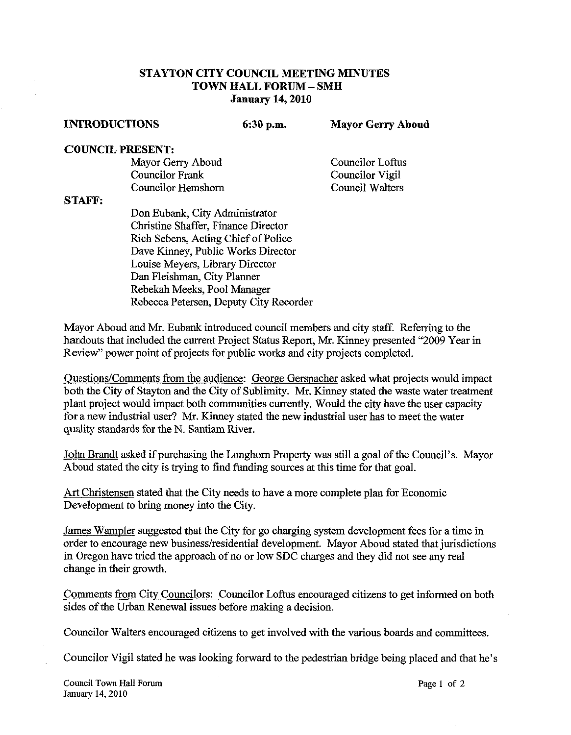## **STAYTON CITY COUNCIL MEETING** MINUTES **TOWN HALL FORUM** - **SMH January 14,2010**

**INTRODUCTIONS 6:30 p.m. Mayor Gerry Aboud** 

## **COUNCIL PRESENT:**

Mayor Gerry Aboud<br>
Councilor Frank Councilor Vigil Councilor Hemshorn

Councilor Vigil<br>Council Walters

## **STAFF:**

Don Eubank, City Administrator Christine Shaffer, Finance Director Rich Sebens, Acting Chief of Police Dave Kinney, Public Works Director Louise Meyers, Library Director Dan Fleishman, City Planner Rebekah Meeks, Pool Manager Rebecca Petersen, Deputy City Recorder

Mayor Aboud and Mr. Eubank introduced council members and city staff. Referring to the handouts that included the current Project Status Report, Mr. Kinney presented "2009 Year in Review" power point of projects for public works and city projects completed.

Ouestions/Comments from the audience: George Gerspacher asked what projects would impact both the City of Stayton and the City of Sublimity. Mr. Kinney stated the waste water treatment plant project would impact both communities currently. Would the city have the user capacity for a new industrial user? Mr. Kinney stated the new industrial user has to meet the water quality standards for the N. Santiam River.

John Brandt asked if purchasing the Longhom Property was still a goal of the Council's. Mayor Aboud stated the city is trying to find funding sources at this time for that goal.

Art Christensen stated that the City needs to have a more complete plan for Economic Development to bring money into the City.

James Wampler suggested that the City for go charging system development fees for a time in order to encourage new business/residential development. Mayor Aboud stated that jurisdictions in Oregon have tried the approach of no or low SDC charges and they did not see any real change in their growth.

Comments from City Councilors: Councilor Loftus encouraged citizens to get informed on both sides of the Urban Renewal issues before making a decision.

Councilor Walters encouraged citizens to get involved with the various boards and committees.

Councilor Vigil stated he was looking forward to the pedestrian bridge being placed and that he's